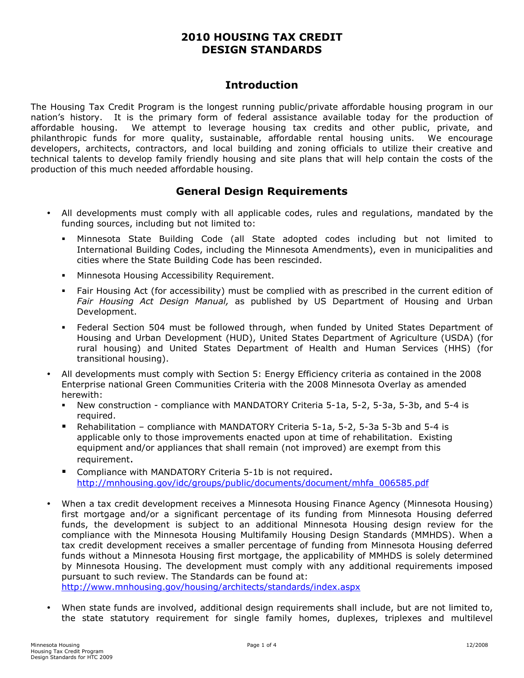## 2010 HOUSING TAX CREDIT DESIGN STANDARDS

### **Introduction**

The Housing Tax Credit Program is the longest running public/private affordable housing program in our nation's history. It is the primary form of federal assistance available today for the production of affordable housing. We attempt to leverage housing tax credits and other public, private, and philanthropic funds for more quality, sustainable, affordable rental housing units. We encourage developers, architects, contractors, and local building and zoning officials to utilize their creative and technical talents to develop family friendly housing and site plans that will help contain the costs of the production of this much needed affordable housing.

## General Design Requirements

- All developments must comply with all applicable codes, rules and regulations, mandated by the funding sources, including but not limited to:
	- Minnesota State Building Code (all State adopted codes including but not limited to International Building Codes, including the Minnesota Amendments), even in municipalities and cities where the State Building Code has been rescinded.
	- **Minnesota Housing Accessibility Requirement.**
	- Fair Housing Act (for accessibility) must be complied with as prescribed in the current edition of Fair Housing Act Design Manual, as published by US Department of Housing and Urban Development.
	- Federal Section 504 must be followed through, when funded by United States Department of Housing and Urban Development (HUD), United States Department of Agriculture (USDA) (for rural housing) and United States Department of Health and Human Services (HHS) (for transitional housing).
- All developments must comply with Section 5: Energy Efficiency criteria as contained in the 2008 Enterprise national Green Communities Criteria with the 2008 Minnesota Overlay as amended herewith:
	- New construction compliance with MANDATORY Criteria 5-1a, 5-2, 5-3a, 5-3b, and 5-4 is required.
	- Rehabilitation compliance with MANDATORY Criteria 5-1a, 5-2, 5-3a 5-3b and 5-4 is applicable only to those improvements enacted upon at time of rehabilitation. Existing equipment and/or appliances that shall remain (not improved) are exempt from this requirement.
	- Compliance with MANDATORY Criteria 5-1b is not required. [http://mnhousing.gov/idc/groups/public/documents/document/mhfa\\_006585.pd](http://mnhousing.gov/idc/groups/public/documents/document/mhfa_006585.pdf)f
- When a tax credit development receives a Minnesota Housing Finance Agency (Minnesota Housing) first mortgage and/or a significant percentage of its funding from Minnesota Housing deferred funds, the development is subject to an additional Minnesota Housing design review for the compliance with the Minnesota Housing Multifamily Housing Design Standards (MMHDS). When a tax credit development receives a smaller percentage of funding from Minnesota Housing deferred funds without a Minnesota Housing first mortgage, the applicability of MMHDS is solely determined by Minnesota Housing. The development must comply with any additional requirements imposed pursuant to such review. The Standards can be found at:

[http://www.mnhousing.gov/housing/architects/standards/index.asp](http://www.mnhousing.gov/housing/architects/standards/index.aspx)x

• When state funds are involved, additional design requirements shall include, but are not limited to, the state statutory requirement for single family homes, duplexes, triplexes and multilevel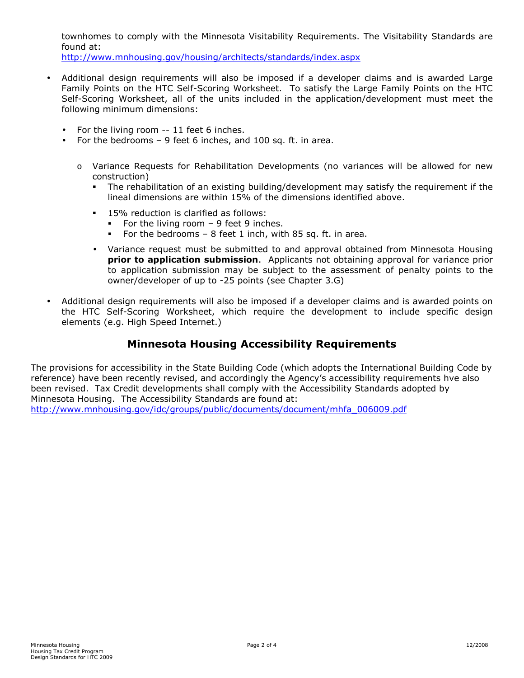townhomes to comply with the Minnesota Visitability Requirements. The Visitability Standards are found at:

[http://www.mnhousing.gov/housing/architects/standards/index.asp](http://www.mnhousing.gov/housing/architects/standards/index.aspx)x

- Additional design requirements will also be imposed if a developer claims and is awarded Large Family Points on the HTC Self-Scoring Worksheet. To satisfy the Large Family Points on the HTC Self-Scoring Worksheet, all of the units included in the application/development must meet the following minimum dimensions:
	- For the living room -- 11 feet 6 inches.
	- For the bedrooms 9 feet 6 inches, and 100 sq. ft. in area.
		- o Variance Requests for Rehabilitation Developments (no variances will be allowed for new construction)
			- The rehabilitation of an existing building/development may satisfy the requirement if the lineal dimensions are within 15% of the dimensions identified above.
			- **15% reduction is clarified as follows:** 
				- For the living room  $-9$  feet 9 inches.
				- For the bedrooms 8 feet 1 inch, with 85 sq. ft. in area.
			- Variance request must be submitted to and approval obtained from Minnesota Housing prior to application submission. Applicants not obtaining approval for variance prior to application submission may be subject to the assessment of penalty points to the owner/developer of up to -25 points (see Chapter 3.G)
- Additional design requirements will also be imposed if a developer claims and is awarded points on the HTC Self-Scoring Worksheet, which require the development to include specific design elements (e.g. High Speed Internet.)

# Minnesota Housing Accessibility Requirements

The provisions for accessibility in the State Building Code (which adopts the International Building Code by reference) have been recently revised, and accordingly the Agency's accessibility requirements hve also been revised. Tax Credit developments shall comply with the Accessibility Standards adopted by Minnesota Housing. The Accessibility Standards are found at: [http://www.mnhousing.gov/idc/groups/public/documents/document/mhfa\\_006009.pd](http://www.mnhousing.gov/idc/groups/public/documents/document/mhfa_006009.pdf)f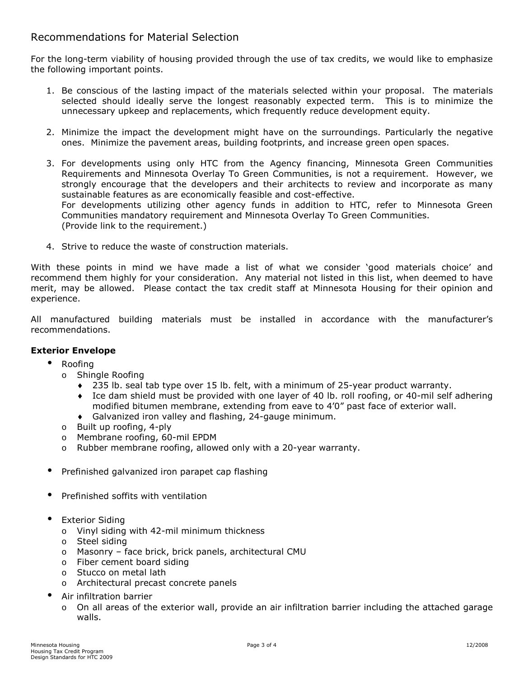### Recommendations for Material Selection

For the long-term viability of housing provided through the use of tax credits, we would like to emphasize the following important points.

- 1. Be conscious of the lasting impact of the materials selected within your proposal. The materials selected should ideally serve the longest reasonably expected term. This is to minimize the unnecessary upkeep and replacements, which frequently reduce development equity.
- 2. Minimize the impact the development might have on the surroundings. Particularly the negative ones. Minimize the pavement areas, building footprints, and increase green open spaces.
- 3. For developments using only HTC from the Agency financing, Minnesota Green Communities Requirements and Minnesota Overlay To Green Communities, is not a requirement. However, we strongly encourage that the developers and their architects to review and incorporate as many sustainable features as are economically feasible and cost-effective. For developments utilizing other agency funds in addition to HTC, refer to Minnesota Green Communities mandatory requirement and Minnesota Overlay To Green Communities. (Provide link to the requirement.)
- 4. Strive to reduce the waste of construction materials.

With these points in mind we have made a list of what we consider 'good materials choice' and recommend them highly for your consideration. Any material not listed in this list, when deemed to have merit, may be allowed. Please contact the tax credit staff at Minnesota Housing for their opinion and experience.

All manufactured building materials must be installed in accordance with the manufacturer's recommendations.

#### Exterior Envelope

- Roofing
	- o Shingle Roofing
		- ♦ 235 lb. seal tab type over 15 lb. felt, with a minimum of 25-year product warranty.
		- Ice dam shield must be provided with one layer of 40 lb. roll roofing, or 40-mil self adhering modified bitumen membrane, extending from eave to 4'0" past face of exterior wall.
		- Galvanized iron valley and flashing, 24-gauge minimum.
	- o Built up roofing, 4-ply
	- o Membrane roofing, 60-mil EPDM
	- o Rubber membrane roofing, allowed only with a 20-year warranty.
- Prefinished galvanized iron parapet cap flashing
- Prefinished soffits with ventilation
- Exterior Siding
	- o Vinyl siding with 42-mil minimum thickness
	- o Steel siding
	- o Masonry face brick, brick panels, architectural CMU
	- o Fiber cement board siding
	- o Stucco on metal lath
	- o Architectural precast concrete panels
- Air infiltration barrier
	- o On all areas of the exterior wall, provide an air infiltration barrier including the attached garage walls.